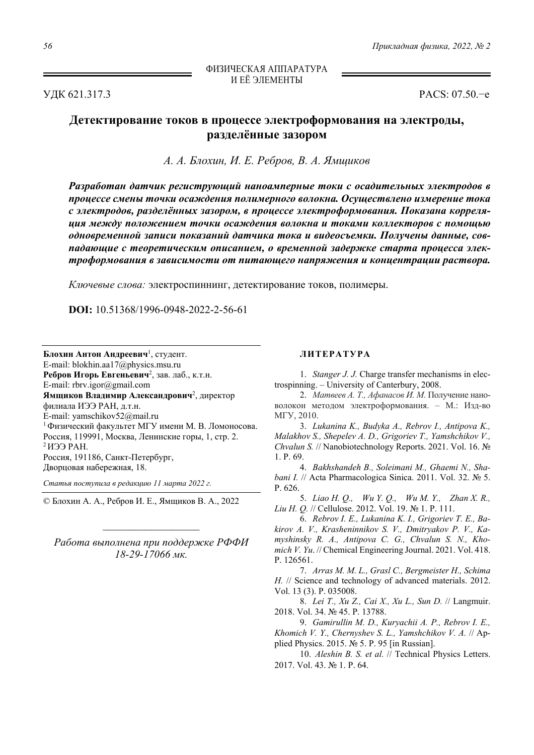УДК 621.317.3 PACS: 07.50.−e

## **Детектирование токов в процессе электроформования на электроды, разделённые зазором**

*А. А. Блохин, И. Е. Ребров, В. А. Ямщиков*

*Разработан датчик региструющий наноамперные токи с осадительных электродов в процессе смены точки осаждения полимерного волокна. Осуществлено измерение тока c электродов, разделённых зазором, в процессе электроформования. Показана корреляция между положением точки осаждения волокна и токами коллекторов с помощью одновременной записи показаний датчика тока и видеосъемки. Получены данные, совпадающие с теоретическим описанием, о временной задержке старта процесса электроформования в зависимости от питающего напряжения и концентрации раствора.* 

*Ключевые слова:* электроспиннинг, детектирование токов, полимеры.

**DOI:** 10.51368/1996-0948-2022-2-56-61

**Блохин Антон Андреевич**<sup>1</sup> , студент. E-mail: blokhin.aa17@physics.msu.ru Ребров Игорь Евгеньевич<sup>2</sup>, зав. лаб., к.т.н. E-mail: rbrv.igor@gmail.com **Ямщиков Владимир Александрович**<sup>2</sup> , директор филиала ИЭЭ РАН, д.т.н. E-mail: yamschikov52@mail.ru 1 Физический факультет МГУ имени М. В. Ломоносова. Россия, 119991, Москва, Ленинские горы, 1, стр. 2. 2 ИЭЭ РАН. Россия, 191186, Санкт-Петербург, Дворцовая набережная, 18.

*Статья поступила в редакцию 11 марта 2022 г.* 

© Блохин А. А., Ребров И. Е., Ямщиков В. А., 2022

*Работа выполнена при поддержке РФФИ 18-29-17066 мк.* 

## **ЛИТЕРАТУРА**

1. *Stanger J. J.* Charge transfer mechanisms in electrospinning. – University of Canterbury, 2008.

2. *Матвеев А. Т., Афанасов И. М.* Получение нановолокон методом электроформования. – М.: Изд-во МГУ, 2010.

3. *Lukanina K., Budyka A., Rebrov I., Antipova K., Malakhov S., Shepelev A. D., Grigoriev T., Yamshchikov V., Chvalun S.* // Nanobiotechnology Reports. 2021. Vol. 16. № 1. P. 69.

4. *Bakhshandeh B., Soleimani M., Ghaemi N., Shabani I.* // Acta Pharmacologica Sinica. 2011. Vol. 32. № 5. P. 626.

5. *Liao H. Q., Wu Y. Q., Wu M. Y., Zhan X. R., Liu H. Q.* // Cellulose. 2012. Vol. 19. № 1. P. 111.

6. *Rebrov I. E., Lukanina K. I., Grigoriev T. E., Bakirov A. V., Krasheninnikov S. V., Dmitryakov P. V., Kamyshinsky R. A., Antipova C. G., Chvalun S. N., Khomich V. Yu*. // Chemical Engineering Journal. 2021. Vol. 418. P. 126561.

7. *Arras M. M. L., Grasl C., Bergmeister H., Schima H.* // Science and technology of advanced materials. 2012. Vol. 13 (3). P. 035008.

8. *Lei T., Xu Z., Cai X., Xu L., Sun D.* // Langmuir. 2018. Vol. 34. № 45. P. 13788.

9. *Gamirullin M. D., Kuryachii A. P., Rebrov I. E., Khomich V. Y., Chernyshev S. L., Yamshchikov V. A.* // Applied Physics. 2015. № 5. P. 95 [in Russian].

10. *Aleshin B. S. et al.* // Technical Physics Letters. 2017. Vol. 43. № 1. P. 64.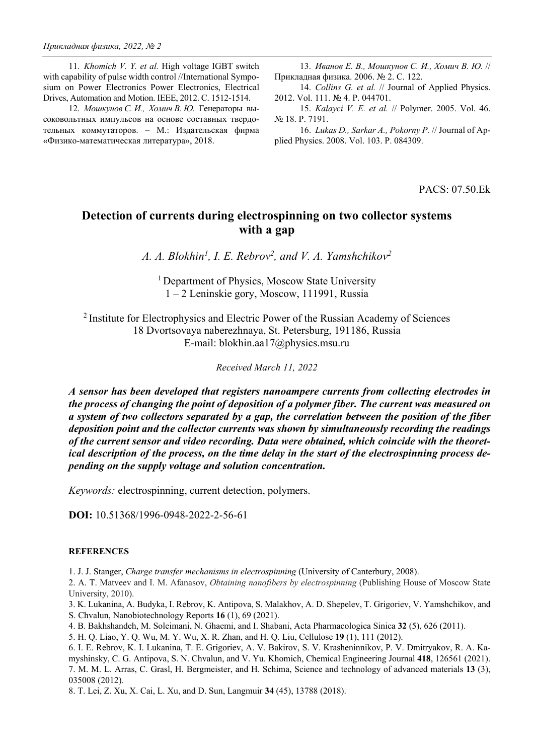11. *Khomich V. Y. et al.* High voltage IGBT switch with capability of pulse width control //International Symposium on Power Electronics Power Electronics, Electrical Drives, Automation and Motion. IEEE, 2012. С. 1512-1514.

12. *Мошкунов С. И., Хомич В. Ю.* Генераторы высоковольтных импульсов на основе составных твердотельных коммутаторов. – М.: Издательская фирма «Физико-математическая литература», 2018.

13. *Иванов Е. В., Мошкунов С. И., Хомич В. Ю.* // Прикладная физика. 2006. № 2. С. 122.

14. *Collins G. et al.* // Journal of Applied Physics. 2012. Vol. 111. № 4. P. 044701.

15. *Kalayci V. E. et al.* // Polymer. 2005. Vol. 46. № 18. P. 7191.

16. *Lukas D., Sarkar A., Pokorny P.* // Journal of Applied Physics. 2008. Vol. 103. P. 084309.

PACS: 07.50.Ek

## **Detection of currents during electrospinning on two collector systems with a gap**

A. A. Blokhin<sup>1</sup>, I. E. Rebrov<sup>2</sup>, and V. A. Yamshchikov<sup>2</sup>

<sup>1</sup> Department of Physics, Moscow State University 1 – 2 Leninskie gory, Moscow, 111991, Russia

<sup>2</sup> Institute for Electrophysics and Electric Power of the Russian Academy of Sciences 18 Dvortsovaya naberezhnaya, St. Petersburg, 191186, Russia E-mail: blokhin.aa17@physics.msu.ru

*Received March 11, 2022* 

*A sensor has been developed that registers nanoampere currents from collecting electrodes in the process of changing the point of deposition of a polymer fiber. The current was measured on a system of two collectors separated by a gap, the correlation between the position of the fiber deposition point and the collector currents was shown by simultaneously recording the readings of the current sensor and video recording. Data were obtained, which coincide with the theoretical description of the process, on the time delay in the start of the electrospinning process depending on the supply voltage and solution concentration.* 

*Keywords:* electrospinning, current detection, polymers.

**DOI:** 10.51368/1996-0948-2022-2-56-61

## **REFERENCES**

1. J. J. Stanger, *Charge transfer mechanisms in electrospinning* (University of Canterbury, 2008).

2. A. T. Matveev and I. M. Afanasov, *Obtaining nanofibers by electrospinning* (Publishing House of Moscow State University, 2010).

3. K. Lukanina, A. Budyka, I. Rebrov, K. Antipova, S. Malakhov, A. D. Shepelev, T. Grigoriev, V. Yamshchikov, and S. Chvalun, Nanobiotechnology Reports **16** (1), 69 (2021).

4. B. Bakhshandeh, M. Soleimani, N. Ghaemi, and I. Shabani, Acta Pharmacologica Sinica **32** (5), 626 (2011).

5. H. Q. Liao, Y. Q. Wu, M. Y. Wu, X. R. Zhan, and H. Q. Liu, Cellulose **19** (1), 111 (2012).

6. I. E. Rebrov, K. I. Lukanina, T. E. Grigoriev, A. V. Bakirov, S. V. Krasheninnikov, P. V. Dmitryakov, R. A. Kamyshinsky, C. G. Antipova, S. N. Chvalun, and V. Yu. Khomich, Chemical Engineering Journal **418**, 126561 (2021). 7. M. M. L. Arras, C. Grasl, H. Bergmeister, and H. Schima, Science and technology of advanced materials **13** (3), 035008 (2012).

8. T. Lei, Z. Xu, X. Cai, L. Xu, and D. Sun, Langmuir **34** (45), 13788 (2018).